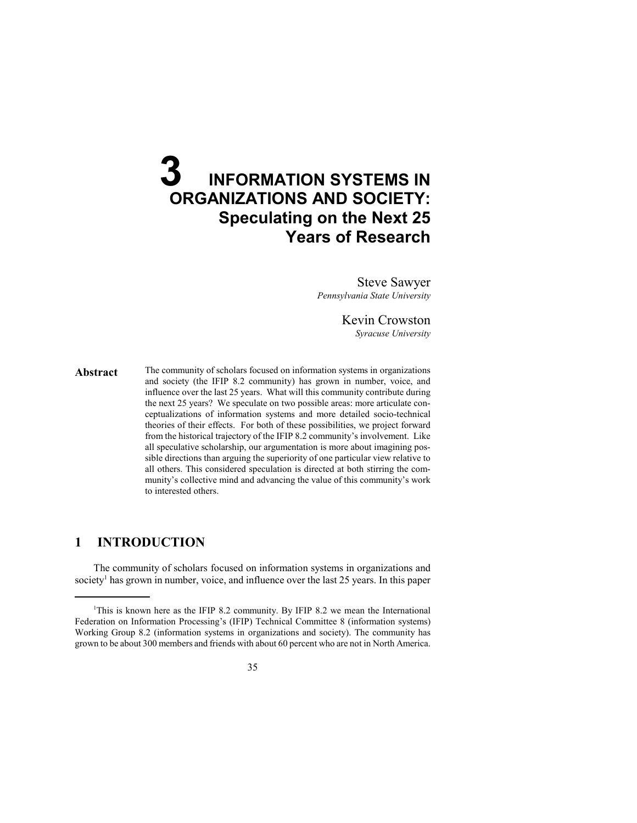# **3 INFORMATION SYSTEMS IN ORGANIZATIONS AND SOCIETY: Speculating on the Next 25 Years of Research**

Steve Sawyer *Pennsylvania State University*

> Kevin Crowston *Syracuse University*

**Abstract** The community of scholars focused on information systems in organizations and society (the IFIP 8.2 community) has grown in number, voice, and influence over the last 25 years. What will this community contribute during the next 25 years? We speculate on two possible areas: more articulate conceptualizations of information systems and more detailed socio-technical theories of their effects. For both of these possibilities, we project forward from the historical trajectory of the IFIP 8.2 community's involvement. Like all speculative scholarship, our argumentation is more about imagining possible directions than arguing the superiority of one particular view relative to all others. This considered speculation is directed at both stirring the community's collective mind and advancing the value of this community's work to interested others.

## **1 INTRODUCTION**

The community of scholars focused on information systems in organizations and society<sup>1</sup> has grown in number, voice, and influence over the last 25 years. In this paper

<sup>&</sup>lt;sup>1</sup>This is known here as the IFIP 8.2 community. By IFIP 8.2 we mean the International Federation on Information Processing's (IFIP) Technical Committee 8 (information systems) Working Group 8.2 (information systems in organizations and society). The community has grown to be about 300 members and friends with about 60 percent who are not in North America.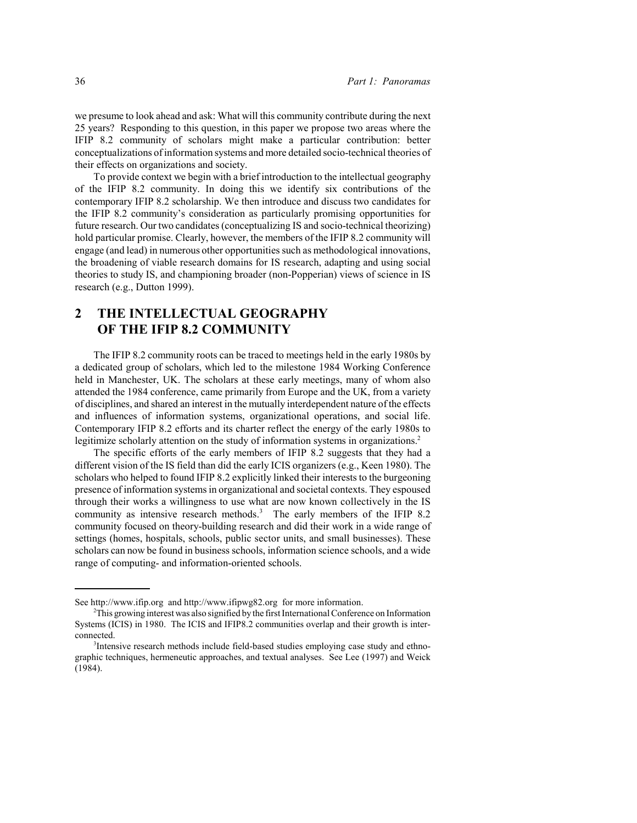we presume to look ahead and ask: What will this community contribute during the next 25 years? Responding to this question, in this paper we propose two areas where the IFIP 8.2 community of scholars might make a particular contribution: better conceptualizations of information systems and more detailed socio-technical theories of their effects on organizations and society.

To provide context we begin with a brief introduction to the intellectual geography of the IFIP 8.2 community. In doing this we identify six contributions of the contemporary IFIP 8.2 scholarship. We then introduce and discuss two candidates for the IFIP 8.2 communityís consideration as particularly promising opportunities for future research. Our two candidates (conceptualizing IS and socio-technical theorizing) hold particular promise. Clearly, however, the members of the IFIP 8.2 community will engage (and lead) in numerous other opportunities such as methodological innovations, the broadening of viable research domains for IS research, adapting and using social theories to study IS, and championing broader (non-Popperian) views of science in IS research (e.g., Dutton 1999).

# **2 THE INTELLECTUAL GEOGRAPHY OF THE IFIP 8.2 COMMUNITY**

The IFIP 8.2 community roots can be traced to meetings held in the early 1980s by a dedicated group of scholars, which led to the milestone 1984 Working Conference held in Manchester, UK. The scholars at these early meetings, many of whom also attended the 1984 conference, came primarily from Europe and the UK, from a variety of disciplines, and shared an interest in the mutually interdependent nature of the effects and influences of information systems, organizational operations, and social life. Contemporary IFIP 8.2 efforts and its charter reflect the energy of the early 1980s to legitimize scholarly attention on the study of information systems in organizations.<sup>2</sup>

The specific efforts of the early members of IFIP 8.2 suggests that they had a different vision of the IS field than did the early ICIS organizers (e.g., Keen 1980). The scholars who helped to found IFIP 8.2 explicitly linked their interests to the burgeoning presence of information systems in organizational and societal contexts. They espoused through their works a willingness to use what are now known collectively in the IS community as intensive research methods.<sup>3</sup> The early members of the IFIP 8.2 community focused on theory-building research and did their work in a wide range of settings (homes, hospitals, schools, public sector units, and small businesses). These scholars can now be found in business schools, information science schools, and a wide range of computing- and information-oriented schools.

See http://www.ifip.org and http://www.ifipwg82.org for more information.

<sup>&</sup>lt;sup>2</sup>This growing interest was also signified by the first International Conference on Information Systems (ICIS) in 1980. The ICIS and IFIP8.2 communities overlap and their growth is interconnected.

<sup>&</sup>lt;sup>3</sup>Intensive research methods include field-based studies employing case study and ethnographic techniques, hermeneutic approaches, and textual analyses. See Lee (1997) and Weick (1984).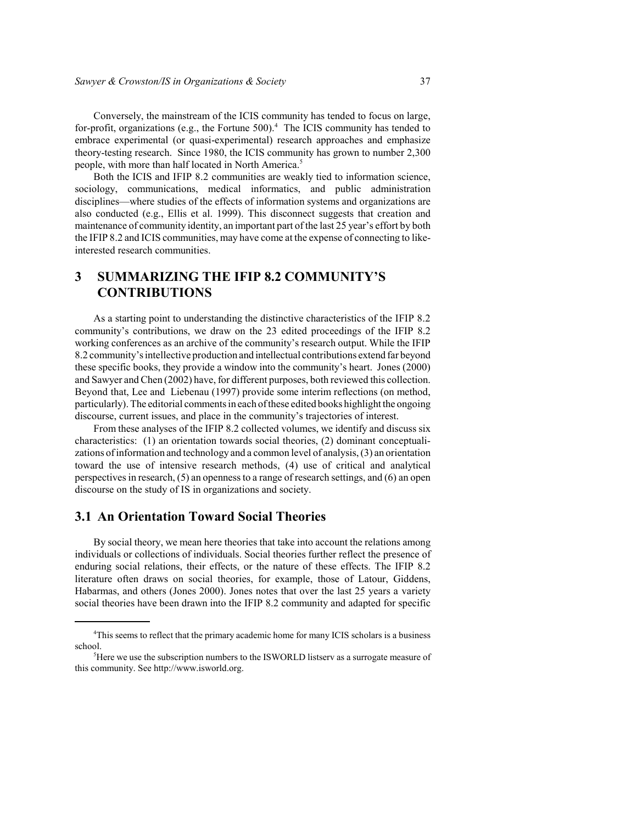Conversely, the mainstream of the ICIS community has tended to focus on large, for-profit, organizations (e.g., the Fortune 500).<sup>4</sup> The ICIS community has tended to embrace experimental (or quasi-experimental) research approaches and emphasize theory-testing research. Since 1980, the ICIS community has grown to number 2,300 people, with more than half located in North America.5

Both the ICIS and IFIP 8.2 communities are weakly tied to information science, sociology, communications, medical informatics, and public administration disciplines—where studies of the effects of information systems and organizations are also conducted (e.g., Ellis et al. 1999). This disconnect suggests that creation and maintenance of community identity, an important part of the last 25 year's effort by both the IFIP 8.2 and ICIS communities, may have come at the expense of connecting to likeinterested research communities.

# **3 SUMMARIZING THE IFIP 8.2 COMMUNITYíS CONTRIBUTIONS**

As a starting point to understanding the distinctive characteristics of the IFIP 8.2 community's contributions, we draw on the 23 edited proceedings of the IFIP 8.2 working conferences as an archive of the community's research output. While the IFIP 8.2 community's intellective production and intellectual contributions extend far beyond these specific books, they provide a window into the communityís heart. Jones (2000) and Sawyer and Chen (2002) have, for different purposes, both reviewed this collection. Beyond that, Lee and Liebenau (1997) provide some interim reflections (on method, particularly). The editorial comments in each of these edited books highlight the ongoing discourse, current issues, and place in the community's trajectories of interest.

From these analyses of the IFIP 8.2 collected volumes, we identify and discuss six characteristics: (1) an orientation towards social theories, (2) dominant conceptualizations of information and technology and a common level of analysis, (3) an orientation toward the use of intensive research methods, (4) use of critical and analytical perspectives in research, (5) an openness to a range of research settings, and (6) an open discourse on the study of IS in organizations and society.

## **3.1 An Orientation Toward Social Theories**

By social theory, we mean here theories that take into account the relations among individuals or collections of individuals. Social theories further reflect the presence of enduring social relations, their effects, or the nature of these effects. The IFIP 8.2 literature often draws on social theories, for example, those of Latour, Giddens, Habarmas, and others (Jones 2000). Jones notes that over the last 25 years a variety social theories have been drawn into the IFIP 8.2 community and adapted for specific

<sup>&</sup>lt;sup>4</sup>This seems to reflect that the primary academic home for many ICIS scholars is a business school.

<sup>&</sup>lt;sup>5</sup>Here we use the subscription numbers to the ISWORLD listserv as a surrogate measure of this community. See http://www.isworld.org.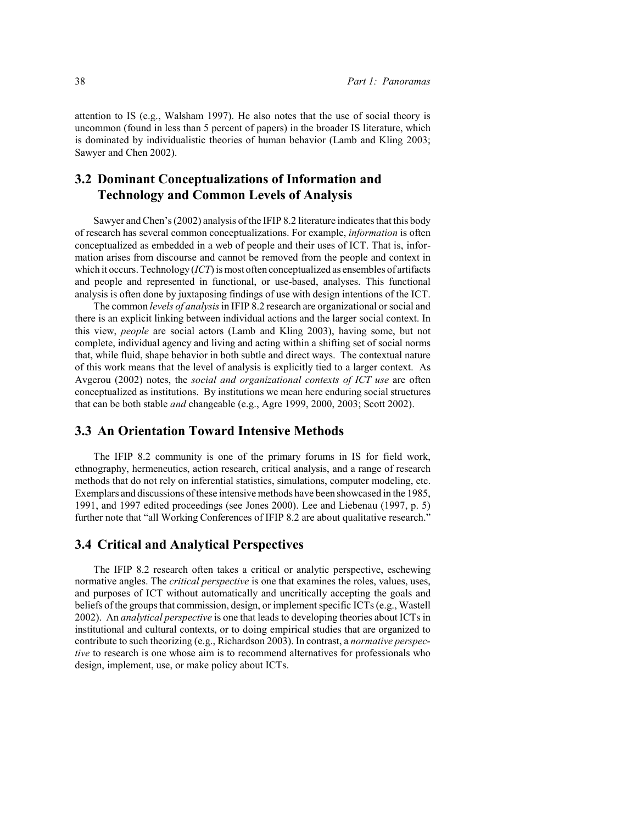attention to IS (e.g., Walsham 1997). He also notes that the use of social theory is uncommon (found in less than 5 percent of papers) in the broader IS literature, which is dominated by individualistic theories of human behavior (Lamb and Kling 2003; Sawyer and Chen 2002).

# **3.2 Dominant Conceptualizations of Information and Technology and Common Levels of Analysis**

Sawyer and Chen's (2002) analysis of the IFIP 8.2 literature indicates that this body of research has several common conceptualizations. For example, *information* is often conceptualized as embedded in a web of people and their uses of ICT. That is, information arises from discourse and cannot be removed from the people and context in which it occurs. Technology (*ICT*) is most often conceptualized as ensembles of artifacts and people and represented in functional, or use-based, analyses. This functional analysis is often done by juxtaposing findings of use with design intentions of the ICT.

The common *levels of analysis* in IFIP 8.2 research are organizational or social and there is an explicit linking between individual actions and the larger social context. In this view, *people* are social actors (Lamb and Kling 2003), having some, but not complete, individual agency and living and acting within a shifting set of social norms that, while fluid, shape behavior in both subtle and direct ways. The contextual nature of this work means that the level of analysis is explicitly tied to a larger context. As Avgerou (2002) notes, the *social and organizational contexts of ICT use* are often conceptualized as institutions. By institutions we mean here enduring social structures that can be both stable *and* changeable (e.g., Agre 1999, 2000, 2003; Scott 2002).

# **3.3 An Orientation Toward Intensive Methods**

The IFIP 8.2 community is one of the primary forums in IS for field work, ethnography, hermeneutics, action research, critical analysis, and a range of research methods that do not rely on inferential statistics, simulations, computer modeling, etc. Exemplars and discussions of these intensive methods have been showcased in the 1985, 1991, and 1997 edited proceedings (see Jones 2000). Lee and Liebenau (1997, p. 5) further note that "all Working Conferences of IFIP 8.2 are about qualitative research."

# **3.4 Critical and Analytical Perspectives**

The IFIP 8.2 research often takes a critical or analytic perspective, eschewing normative angles. The *critical perspective* is one that examines the roles, values, uses, and purposes of ICT without automatically and uncritically accepting the goals and beliefs of the groups that commission, design, or implement specific ICTs (e.g., Wastell 2002). An *analytical perspective* is one that leads to developing theories about ICTs in institutional and cultural contexts, or to doing empirical studies that are organized to contribute to such theorizing (e.g., Richardson 2003). In contrast, a *normative perspective* to research is one whose aim is to recommend alternatives for professionals who design, implement, use, or make policy about ICTs.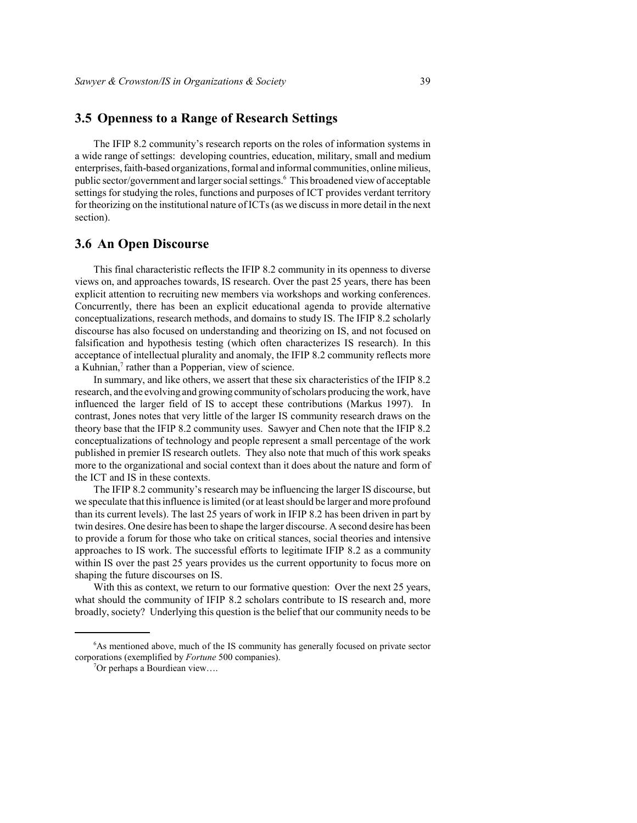## **3.5 Openness to a Range of Research Settings**

The IFIP 8.2 community's research reports on the roles of information systems in a wide range of settings: developing countries, education, military, small and medium enterprises, faith-based organizations, formal and informal communities, online milieus, public sector/government and larger social settings.<sup>6</sup> This broadened view of acceptable settings for studying the roles, functions and purposes of ICT provides verdant territory for theorizing on the institutional nature of ICTs (as we discuss in more detail in the next section).

## **3.6 An Open Discourse**

This final characteristic reflects the IFIP 8.2 community in its openness to diverse views on, and approaches towards, IS research. Over the past 25 years, there has been explicit attention to recruiting new members via workshops and working conferences. Concurrently, there has been an explicit educational agenda to provide alternative conceptualizations, research methods, and domains to study IS. The IFIP 8.2 scholarly discourse has also focused on understanding and theorizing on IS, and not focused on falsification and hypothesis testing (which often characterizes IS research). In this acceptance of intellectual plurality and anomaly, the IFIP 8.2 community reflects more a Kuhnian,<sup>7</sup> rather than a Popperian, view of science.

In summary, and like others, we assert that these six characteristics of the IFIP 8.2 research, and the evolving and growing community of scholars producing the work, have influenced the larger field of IS to accept these contributions (Markus 1997). In contrast, Jones notes that very little of the larger IS community research draws on the theory base that the IFIP 8.2 community uses. Sawyer and Chen note that the IFIP 8.2 conceptualizations of technology and people represent a small percentage of the work published in premier IS research outlets. They also note that much of this work speaks more to the organizational and social context than it does about the nature and form of the ICT and IS in these contexts.

The IFIP 8.2 community's research may be influencing the larger IS discourse, but we speculate that this influence is limited (or at least should be larger and more profound than its current levels). The last 25 years of work in IFIP 8.2 has been driven in part by twin desires. One desire has been to shape the larger discourse. A second desire has been to provide a forum for those who take on critical stances, social theories and intensive approaches to IS work. The successful efforts to legitimate IFIP 8.2 as a community within IS over the past 25 years provides us the current opportunity to focus more on shaping the future discourses on IS.

With this as context, we return to our formative question: Over the next 25 years, what should the community of IFIP 8.2 scholars contribute to IS research and, more broadly, society? Underlying this question is the belief that our community needs to be

<sup>6</sup> As mentioned above, much of the IS community has generally focused on private sector corporations (exemplified by *Fortune* 500 companies).

 $7$ Or perhaps a Bourdiean view....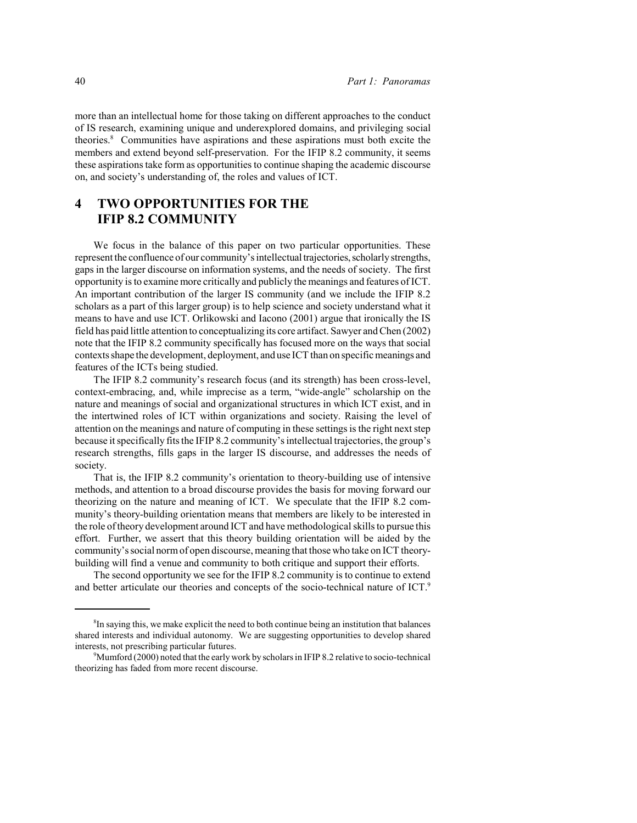more than an intellectual home for those taking on different approaches to the conduct of IS research, examining unique and underexplored domains, and privileging social theories.8 Communities have aspirations and these aspirations must both excite the members and extend beyond self-preservation. For the IFIP 8.2 community, it seems these aspirations take form as opportunities to continue shaping the academic discourse on, and society's understanding of, the roles and values of ICT.

# **4 TWO OPPORTUNITIES FOR THE IFIP 8.2 COMMUNITY**

We focus in the balance of this paper on two particular opportunities. These represent the confluence of our community's intellectual trajectories, scholarly strengths, gaps in the larger discourse on information systems, and the needs of society. The first opportunity is to examine more critically and publicly the meanings and features of ICT. An important contribution of the larger IS community (and we include the IFIP 8.2 scholars as a part of this larger group) is to help science and society understand what it means to have and use ICT. Orlikowski and Iacono (2001) argue that ironically the IS field has paid little attention to conceptualizing its core artifact. Sawyer and Chen (2002) note that the IFIP 8.2 community specifically has focused more on the ways that social contexts shape the development, deployment, and use ICT than on specific meanings and features of the ICTs being studied.

The IFIP 8.2 community's research focus (and its strength) has been cross-level, context-embracing, and, while imprecise as a term, "wide-angle" scholarship on the nature and meanings of social and organizational structures in which ICT exist, and in the intertwined roles of ICT within organizations and society. Raising the level of attention on the meanings and nature of computing in these settings is the right next step because it specifically fits the IFIP 8.2 community's intellectual trajectories, the group's research strengths, fills gaps in the larger IS discourse, and addresses the needs of society.

That is, the IFIP 8.2 community's orientation to theory-building use of intensive methods, and attention to a broad discourse provides the basis for moving forward our theorizing on the nature and meaning of ICT. We speculate that the IFIP 8.2 community's theory-building orientation means that members are likely to be interested in the role of theory development around ICT and have methodological skills to pursue this effort. Further, we assert that this theory building orientation will be aided by the community's social norm of open discourse, meaning that those who take on ICT theorybuilding will find a venue and community to both critique and support their efforts.

The second opportunity we see for the IFIP 8.2 community is to continue to extend and better articulate our theories and concepts of the socio-technical nature of ICT.9

<sup>&</sup>lt;sup>8</sup>In saying this, we make explicit the need to both continue being an institution that balances shared interests and individual autonomy. We are suggesting opportunities to develop shared interests, not prescribing particular futures.

<sup>&</sup>lt;sup>9</sup>Mumford (2000) noted that the early work by scholars in IFIP 8.2 relative to socio-technical theorizing has faded from more recent discourse.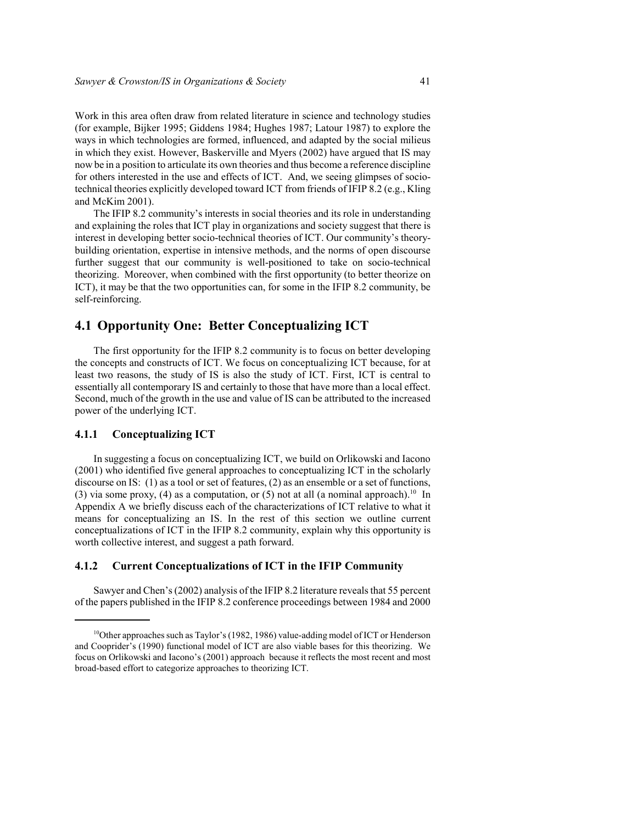Work in this area often draw from related literature in science and technology studies (for example, Bijker 1995; Giddens 1984; Hughes 1987; Latour 1987) to explore the ways in which technologies are formed, influenced, and adapted by the social milieus in which they exist. However, Baskerville and Myers (2002) have argued that IS may now be in a position to articulate its own theories and thus become a reference discipline for others interested in the use and effects of ICT. And, we seeing glimpses of sociotechnical theories explicitly developed toward ICT from friends of IFIP 8.2 (e.g., Kling and McKim 2001).

The IFIP 8.2 community's interests in social theories and its role in understanding and explaining the roles that ICT play in organizations and society suggest that there is interest in developing better socio-technical theories of ICT. Our community's theorybuilding orientation, expertise in intensive methods, and the norms of open discourse further suggest that our community is well-positioned to take on socio-technical theorizing. Moreover, when combined with the first opportunity (to better theorize on ICT), it may be that the two opportunities can, for some in the IFIP 8.2 community, be self-reinforcing.

# **4.1 Opportunity One: Better Conceptualizing ICT**

The first opportunity for the IFIP 8.2 community is to focus on better developing the concepts and constructs of ICT. We focus on conceptualizing ICT because, for at least two reasons, the study of IS is also the study of ICT. First, ICT is central to essentially all contemporary IS and certainly to those that have more than a local effect. Second, much of the growth in the use and value of IS can be attributed to the increased power of the underlying ICT.

#### **4.1.1 Conceptualizing ICT**

In suggesting a focus on conceptualizing ICT, we build on Orlikowski and Iacono (2001) who identified five general approaches to conceptualizing ICT in the scholarly discourse on IS: (1) as a tool or set of features, (2) as an ensemble or a set of functions, (3) via some proxy, (4) as a computation, or (5) not at all (a nominal approach).<sup>10</sup> In Appendix A we briefly discuss each of the characterizations of ICT relative to what it means for conceptualizing an IS. In the rest of this section we outline current conceptualizations of ICT in the IFIP 8.2 community, explain why this opportunity is worth collective interest, and suggest a path forward.

#### **4.1.2 Current Conceptualizations of ICT in the IFIP Community**

Sawyer and Chen's (2002) analysis of the IFIP 8.2 literature reveals that 55 percent of the papers published in the IFIP 8.2 conference proceedings between 1984 and 2000

 $10$ Other approaches such as Taylor's (1982, 1986) value-adding model of ICT or Henderson and Cooprider's (1990) functional model of ICT are also viable bases for this theorizing. We focus on Orlikowski and Iacono's (2001) approach because it reflects the most recent and most broad-based effort to categorize approaches to theorizing ICT.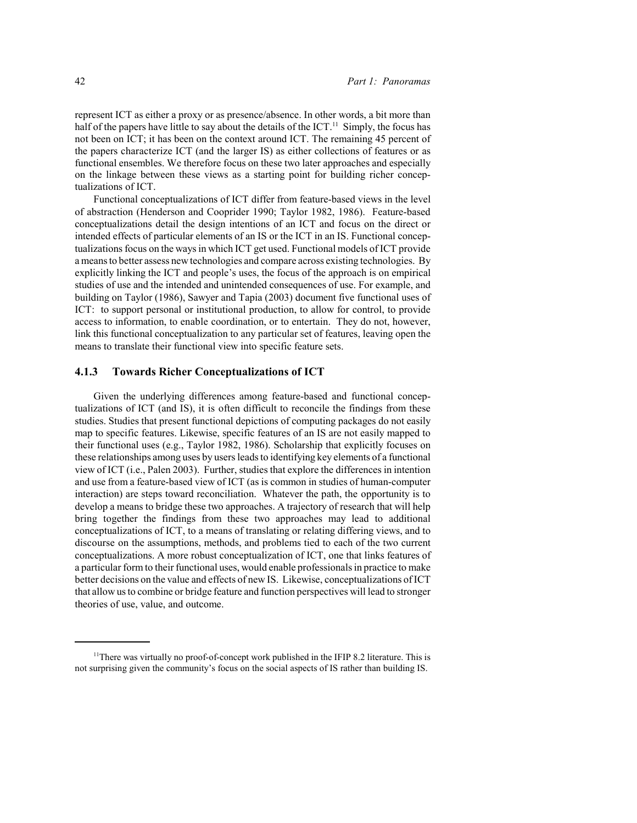represent ICT as either a proxy or as presence/absence. In other words, a bit more than half of the papers have little to say about the details of the ICT.<sup>11</sup> Simply, the focus has not been on ICT; it has been on the context around ICT. The remaining 45 percent of the papers characterize ICT (and the larger IS) as either collections of features or as functional ensembles. We therefore focus on these two later approaches and especially on the linkage between these views as a starting point for building richer conceptualizations of ICT.

Functional conceptualizations of ICT differ from feature-based views in the level of abstraction (Henderson and Cooprider 1990; Taylor 1982, 1986). Feature-based conceptualizations detail the design intentions of an ICT and focus on the direct or intended effects of particular elements of an IS or the ICT in an IS. Functional conceptualizations focus on the ways in which ICT get used. Functional models of ICT provide a means to better assess new technologies and compare across existing technologies. By explicitly linking the ICT and people's uses, the focus of the approach is on empirical studies of use and the intended and unintended consequences of use. For example, and building on Taylor (1986), Sawyer and Tapia (2003) document five functional uses of ICT: to support personal or institutional production, to allow for control, to provide access to information, to enable coordination, or to entertain. They do not, however, link this functional conceptualization to any particular set of features, leaving open the means to translate their functional view into specific feature sets.

#### **4.1.3 Towards Richer Conceptualizations of ICT**

Given the underlying differences among feature-based and functional conceptualizations of ICT (and IS), it is often difficult to reconcile the findings from these studies. Studies that present functional depictions of computing packages do not easily map to specific features. Likewise, specific features of an IS are not easily mapped to their functional uses (e.g., Taylor 1982, 1986). Scholarship that explicitly focuses on these relationships among uses by users leads to identifying key elements of a functional view of ICT (i.e., Palen 2003). Further, studies that explore the differences in intention and use from a feature-based view of ICT (as is common in studies of human-computer interaction) are steps toward reconciliation. Whatever the path, the opportunity is to develop a means to bridge these two approaches. A trajectory of research that will help bring together the findings from these two approaches may lead to additional conceptualizations of ICT, to a means of translating or relating differing views, and to discourse on the assumptions, methods, and problems tied to each of the two current conceptualizations. A more robust conceptualization of ICT, one that links features of a particular form to their functional uses, would enable professionals in practice to make better decisions on the value and effects of new IS. Likewise, conceptualizations of ICT that allow us to combine or bridge feature and function perspectives will lead to stronger theories of use, value, and outcome.

<sup>&</sup>lt;sup>11</sup>There was virtually no proof-of-concept work published in the IFIP 8.2 literature. This is not surprising given the community's focus on the social aspects of IS rather than building IS.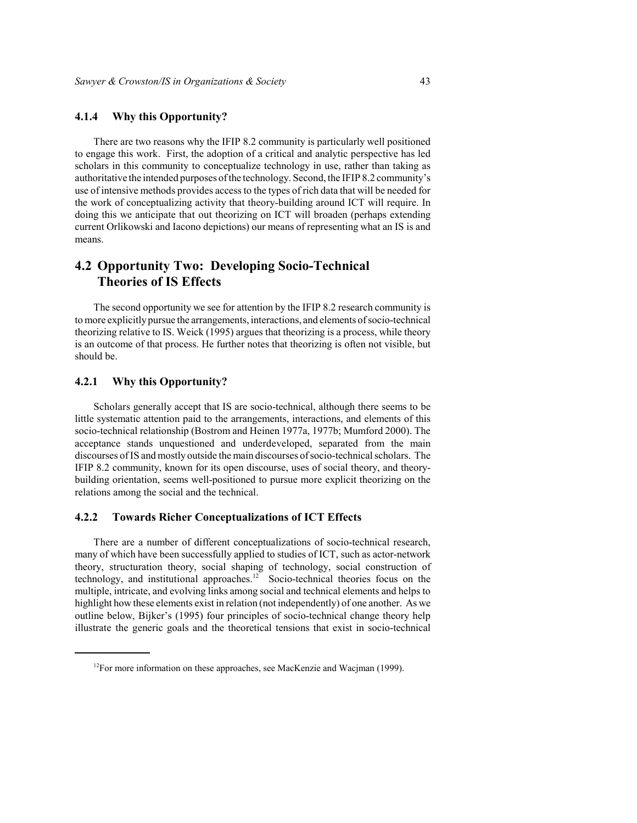#### **4.1.4 Why this Opportunity?**

There are two reasons why the IFIP 8.2 community is particularly well positioned to engage this work. First, the adoption of a critical and analytic perspective has led scholars in this community to conceptualize technology in use, rather than taking as authoritative the intended purposes of the technology. Second, the IFIP 8.2 communityís use of intensive methods provides access to the types of rich data that will be needed for the work of conceptualizing activity that theory-building around ICT will require. In doing this we anticipate that out theorizing on ICT will broaden (perhaps extending current Orlikowski and Iacono depictions) our means of representing what an IS is and means.

# **4.2 Opportunity Two: Developing Socio-Technical Theories of IS Effects**

The second opportunity we see for attention by the IFIP 8.2 research community is to more explicitly pursue the arrangements, interactions, and elements of socio-technical theorizing relative to IS. Weick (1995) argues that theorizing is a process, while theory is an outcome of that process. He further notes that theorizing is often not visible, but should be.

## **4.2.1 Why this Opportunity?**

Scholars generally accept that IS are socio-technical, although there seems to be little systematic attention paid to the arrangements, interactions, and elements of this socio-technical relationship (Bostrom and Heinen 1977a, 1977b; Mumford 2000). The acceptance stands unquestioned and underdeveloped, separated from the main discourses of IS and mostly outside the main discourses of socio-technical scholars. The IFIP 8.2 community, known for its open discourse, uses of social theory, and theorybuilding orientation, seems well-positioned to pursue more explicit theorizing on the relations among the social and the technical.

#### **4.2.2 Towards Richer Conceptualizations of ICT Effects**

There are a number of different conceptualizations of socio-technical research, many of which have been successfully applied to studies of ICT, such as actor-network theory, structuration theory, social shaping of technology, social construction of technology, and institutional approaches.<sup>12</sup> Socio-technical theories focus on the multiple, intricate, and evolving links among social and technical elements and helps to highlight how these elements exist in relation (not independently) of one another. As we outline below, Bijker's (1995) four principles of socio-technical change theory help illustrate the generic goals and the theoretical tensions that exist in socio-technical

<sup>&</sup>lt;sup>12</sup>For more information on these approaches, see MacKenzie and Wacjman (1999).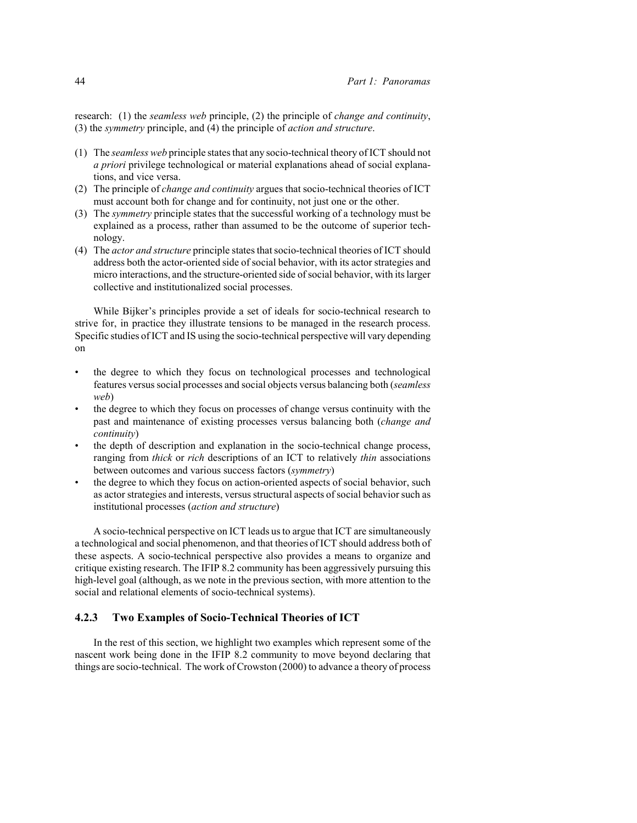research: (1) the *seamless web* principle, (2) the principle of *change and continuity*, (3) the *symmetry* principle, and (4) the principle of *action and structure*.

- (1) The *seamless web* principle states that any socio-technical theory of ICT should not *a priori* privilege technological or material explanations ahead of social explanations, and vice versa.
- (2) The principle of *change and continuity* argues that socio-technical theories of ICT must account both for change and for continuity, not just one or the other.
- (3) The *symmetry* principle states that the successful working of a technology must be explained as a process, rather than assumed to be the outcome of superior technology.
- (4) The *actor and structure* principle states that socio-technical theories of ICT should address both the actor-oriented side of social behavior, with its actor strategies and micro interactions, and the structure-oriented side of social behavior, with its larger collective and institutionalized social processes.

While Bijker's principles provide a set of ideals for socio-technical research to strive for, in practice they illustrate tensions to be managed in the research process. Specific studies of ICT and IS using the socio-technical perspective will vary depending on

- the degree to which they focus on technological processes and technological features versus social processes and social objects versus balancing both (*seamless web*)
- ï the degree to which they focus on processes of change versus continuity with the past and maintenance of existing processes versus balancing both (*change and continuity*)
- the depth of description and explanation in the socio-technical change process, ranging from *thick* or *rich* descriptions of an ICT to relatively *thin* associations between outcomes and various success factors (*symmetry*)
- the degree to which they focus on action-oriented aspects of social behavior, such as actor strategies and interests, versus structural aspects of social behavior such as institutional processes (*action and structure*)

A socio-technical perspective on ICT leads us to argue that ICT are simultaneously a technological and social phenomenon, and that theories of ICT should address both of these aspects. A socio-technical perspective also provides a means to organize and critique existing research. The IFIP 8.2 community has been aggressively pursuing this high-level goal (although, as we note in the previous section, with more attention to the social and relational elements of socio-technical systems).

#### **4.2.3 Two Examples of Socio-Technical Theories of ICT**

In the rest of this section, we highlight two examples which represent some of the nascent work being done in the IFIP 8.2 community to move beyond declaring that things are socio-technical. The work of Crowston (2000) to advance a theory of process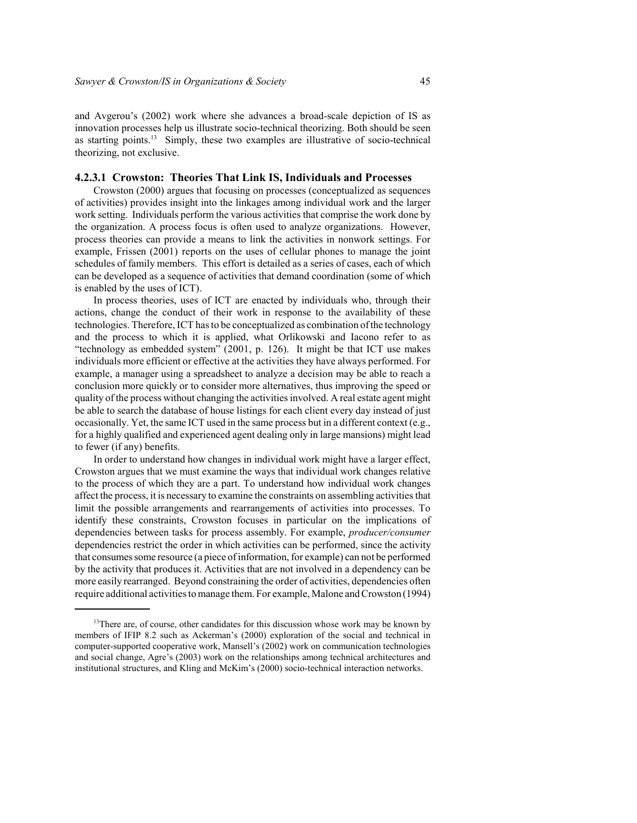and Avgerouís (2002) work where she advances a broad-scale depiction of IS as innovation processes help us illustrate socio-technical theorizing. Both should be seen as starting points.13 Simply, these two examples are illustrative of socio-technical theorizing, not exclusive.

#### **4.2.3.1 Crowston: Theories That Link IS, Individuals and Processes**

Crowston (2000) argues that focusing on processes (conceptualized as sequences of activities) provides insight into the linkages among individual work and the larger work setting. Individuals perform the various activities that comprise the work done by the organization. A process focus is often used to analyze organizations. However, process theories can provide a means to link the activities in nonwork settings. For example, Frissen (2001) reports on the uses of cellular phones to manage the joint schedules of family members. This effort is detailed as a series of cases, each of which can be developed as a sequence of activities that demand coordination (some of which is enabled by the uses of ICT).

In process theories, uses of ICT are enacted by individuals who, through their actions, change the conduct of their work in response to the availability of these technologies. Therefore, ICT has to be conceptualized as combination of the technology and the process to which it is applied, what Orlikowski and Iacono refer to as "technology as embedded system"  $(2001, p. 126)$ . It might be that ICT use makes individuals more efficient or effective at the activities they have always performed. For example, a manager using a spreadsheet to analyze a decision may be able to reach a conclusion more quickly or to consider more alternatives, thus improving the speed or quality of the process without changing the activities involved. A real estate agent might be able to search the database of house listings for each client every day instead of just occasionally. Yet, the same ICT used in the same process but in a different context (e.g., for a highly qualified and experienced agent dealing only in large mansions) might lead to fewer (if any) benefits.

In order to understand how changes in individual work might have a larger effect, Crowston argues that we must examine the ways that individual work changes relative to the process of which they are a part. To understand how individual work changes affect the process, it is necessary to examine the constraints on assembling activities that limit the possible arrangements and rearrangements of activities into processes. To identify these constraints, Crowston focuses in particular on the implications of dependencies between tasks for process assembly. For example, *producer/consumer* dependencies restrict the order in which activities can be performed, since the activity that consumes some resource (a piece of information, for example) can not be performed by the activity that produces it. Activities that are not involved in a dependency can be more easily rearranged. Beyond constraining the order of activities, dependencies often require additional activities to manage them. For example, Malone and Crowston (1994)

<sup>&</sup>lt;sup>13</sup>There are, of course, other candidates for this discussion whose work may be known by members of IFIP 8.2 such as Ackerman's (2000) exploration of the social and technical in computer-supported cooperative work, Mansell's (2002) work on communication technologies and social change, Agre's (2003) work on the relationships among technical architectures and institutional structures, and Kling and McKim's (2000) socio-technical interaction networks.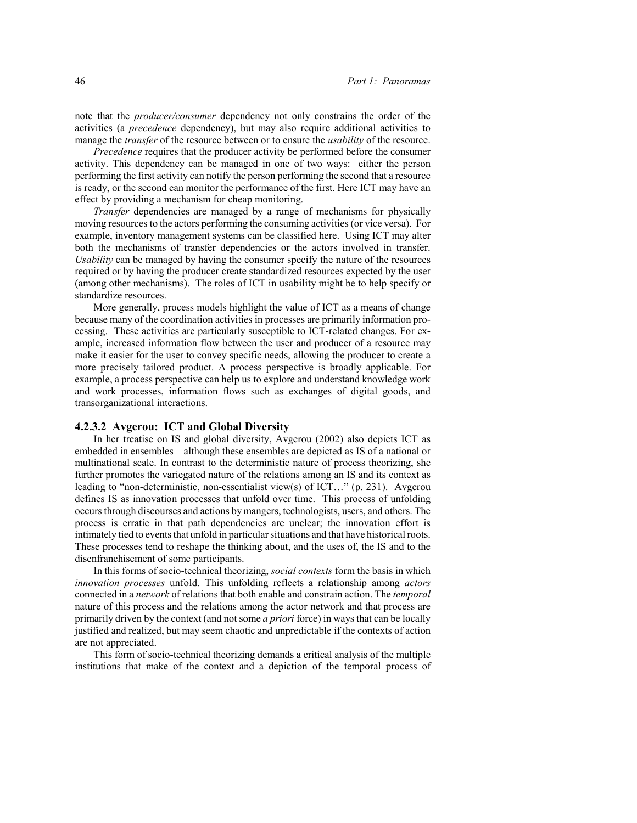note that the *producer/consumer* dependency not only constrains the order of the activities (a *precedence* dependency), but may also require additional activities to manage the *transfer* of the resource between or to ensure the *usability* of the resource.

*Precedence* requires that the producer activity be performed before the consumer activity. This dependency can be managed in one of two ways: either the person performing the first activity can notify the person performing the second that a resource is ready, or the second can monitor the performance of the first. Here ICT may have an effect by providing a mechanism for cheap monitoring.

*Transfer* dependencies are managed by a range of mechanisms for physically moving resources to the actors performing the consuming activities (or vice versa). For example, inventory management systems can be classified here. Using ICT may alter both the mechanisms of transfer dependencies or the actors involved in transfer. *Usability* can be managed by having the consumer specify the nature of the resources required or by having the producer create standardized resources expected by the user (among other mechanisms). The roles of ICT in usability might be to help specify or standardize resources.

More generally, process models highlight the value of ICT as a means of change because many of the coordination activities in processes are primarily information processing. These activities are particularly susceptible to ICT-related changes. For example, increased information flow between the user and producer of a resource may make it easier for the user to convey specific needs, allowing the producer to create a more precisely tailored product. A process perspective is broadly applicable. For example, a process perspective can help us to explore and understand knowledge work and work processes, information flows such as exchanges of digital goods, and transorganizational interactions.

#### **4.2.3.2 Avgerou: ICT and Global Diversity**

In her treatise on IS and global diversity, Avgerou (2002) also depicts ICT as embedded in ensembles—although these ensembles are depicted as IS of a national or multinational scale. In contrast to the deterministic nature of process theorizing, she further promotes the variegated nature of the relations among an IS and its context as leading to "non-deterministic, non-essentialist view(s) of ICT $\dots$ " (p. 231). Avgerou defines IS as innovation processes that unfold over time. This process of unfolding occurs through discourses and actions by mangers, technologists, users, and others. The process is erratic in that path dependencies are unclear; the innovation effort is intimately tied to events that unfold in particular situations and that have historical roots. These processes tend to reshape the thinking about, and the uses of, the IS and to the disenfranchisement of some participants.

In this forms of socio-technical theorizing, *social contexts* form the basis in which *innovation processes* unfold. This unfolding reflects a relationship among *actors* connected in a *network* of relations that both enable and constrain action. The *temporal* nature of this process and the relations among the actor network and that process are primarily driven by the context (and not some *a priori* force) in ways that can be locally justified and realized, but may seem chaotic and unpredictable if the contexts of action are not appreciated.

This form of socio-technical theorizing demands a critical analysis of the multiple institutions that make of the context and a depiction of the temporal process of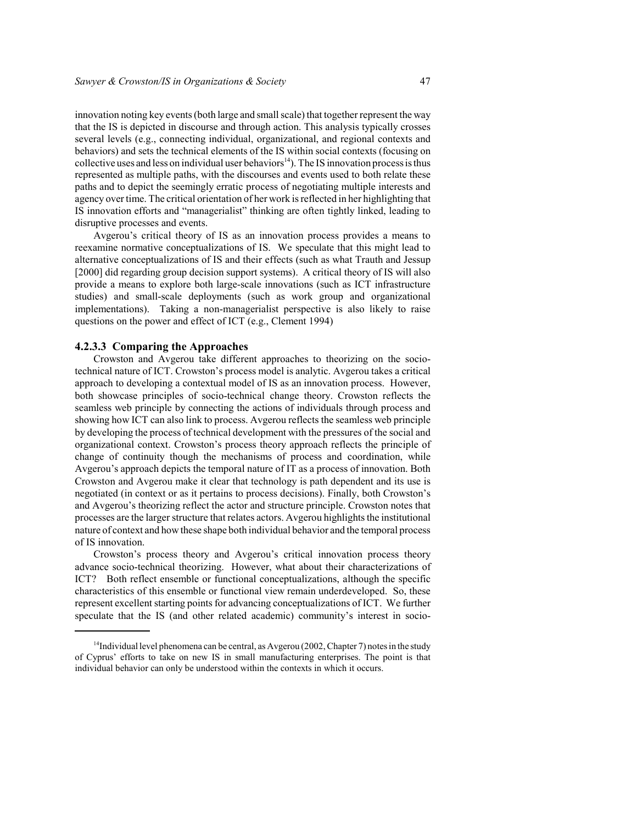innovation noting key events (both large and small scale) that together represent the way that the IS is depicted in discourse and through action. This analysis typically crosses several levels (e.g., connecting individual, organizational, and regional contexts and behaviors) and sets the technical elements of the IS within social contexts (focusing on collective uses and less on individual user behaviors<sup>14</sup>). The IS innovation process is thus represented as multiple paths, with the discourses and events used to both relate these paths and to depict the seemingly erratic process of negotiating multiple interests and agency over time. The critical orientation of her work is reflected in her highlighting that IS innovation efforts and "managerialist" thinking are often tightly linked, leading to disruptive processes and events.

Avgerouís critical theory of IS as an innovation process provides a means to reexamine normative conceptualizations of IS. We speculate that this might lead to alternative conceptualizations of IS and their effects (such as what Trauth and Jessup [2000] did regarding group decision support systems). A critical theory of IS will also provide a means to explore both large-scale innovations (such as ICT infrastructure studies) and small-scale deployments (such as work group and organizational implementations). Taking a non-managerialist perspective is also likely to raise questions on the power and effect of ICT (e.g., Clement 1994)

#### **4.2.3.3 Comparing the Approaches**

Crowston and Avgerou take different approaches to theorizing on the sociotechnical nature of ICT. Crowston's process model is analytic. Avgerou takes a critical approach to developing a contextual model of IS as an innovation process. However, both showcase principles of socio-technical change theory. Crowston reflects the seamless web principle by connecting the actions of individuals through process and showing how ICT can also link to process. Avgerou reflects the seamless web principle by developing the process of technical development with the pressures of the social and organizational context. Crowston's process theory approach reflects the principle of change of continuity though the mechanisms of process and coordination, while Avgerou's approach depicts the temporal nature of IT as a process of innovation. Both Crowston and Avgerou make it clear that technology is path dependent and its use is negotiated (in context or as it pertains to process decisions). Finally, both Crowston's and Avgerou's theorizing reflect the actor and structure principle. Crowston notes that processes are the larger structure that relates actors. Avgerou highlights the institutional nature of context and how these shape both individual behavior and the temporal process of IS innovation.

Crowston's process theory and Avgerou's critical innovation process theory advance socio-technical theorizing. However, what about their characterizations of ICT? Both reflect ensemble or functional conceptualizations, although the specific characteristics of this ensemble or functional view remain underdeveloped. So, these represent excellent starting points for advancing conceptualizations of ICT. We further speculate that the IS (and other related academic) community's interest in socio-

<sup>&</sup>lt;sup>14</sup>Individual level phenomena can be central, as Avgerou (2002, Chapter 7) notes in the study of Cyprus' efforts to take on new IS in small manufacturing enterprises. The point is that individual behavior can only be understood within the contexts in which it occurs.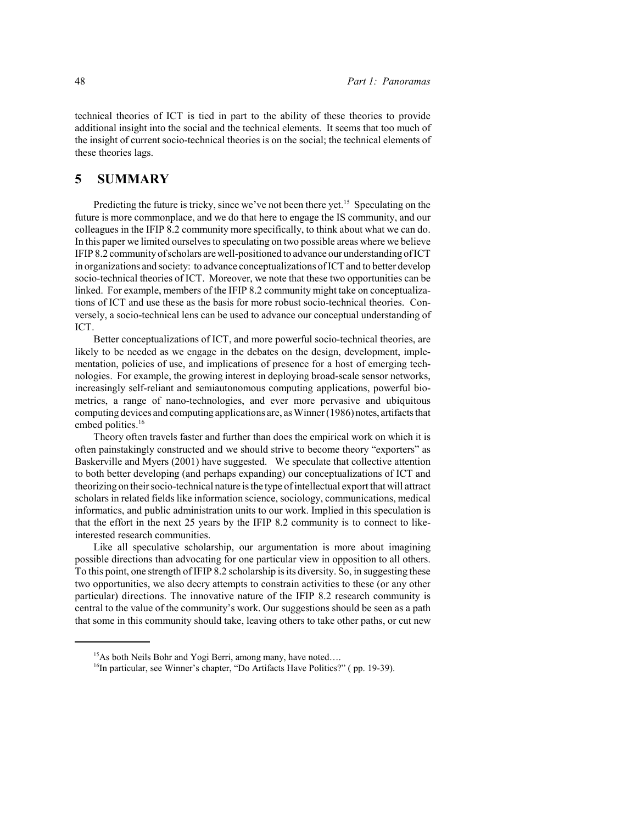technical theories of ICT is tied in part to the ability of these theories to provide additional insight into the social and the technical elements. It seems that too much of the insight of current socio-technical theories is on the social; the technical elements of these theories lags.

## **5 SUMMARY**

Predicting the future is tricky, since we've not been there yet.<sup>15</sup> Speculating on the future is more commonplace, and we do that here to engage the IS community, and our colleagues in the IFIP 8.2 community more specifically, to think about what we can do. In this paper we limited ourselves to speculating on two possible areas where we believe IFIP 8.2 community of scholars are well-positioned to advance our understanding of ICT in organizations and society: to advance conceptualizations of ICT and to better develop socio-technical theories of ICT. Moreover, we note that these two opportunities can be linked. For example, members of the IFIP 8.2 community might take on conceptualizations of ICT and use these as the basis for more robust socio-technical theories. Conversely, a socio-technical lens can be used to advance our conceptual understanding of ICT.

Better conceptualizations of ICT, and more powerful socio-technical theories, are likely to be needed as we engage in the debates on the design, development, implementation, policies of use, and implications of presence for a host of emerging technologies. For example, the growing interest in deploying broad-scale sensor networks, increasingly self-reliant and semiautonomous computing applications, powerful biometrics, a range of nano-technologies, and ever more pervasive and ubiquitous computing devices and computing applications are, as Winner (1986) notes, artifacts that embed politics.<sup>16</sup>

Theory often travels faster and further than does the empirical work on which it is often painstakingly constructed and we should strive to become theory "exporters" as Baskerville and Myers (2001) have suggested. We speculate that collective attention to both better developing (and perhaps expanding) our conceptualizations of ICT and theorizing on their socio-technical nature is the type of intellectual export that will attract scholars in related fields like information science, sociology, communications, medical informatics, and public administration units to our work. Implied in this speculation is that the effort in the next 25 years by the IFIP 8.2 community is to connect to likeinterested research communities.

Like all speculative scholarship, our argumentation is more about imagining possible directions than advocating for one particular view in opposition to all others. To this point, one strength of IFIP 8.2 scholarship is its diversity. So, in suggesting these two opportunities, we also decry attempts to constrain activities to these (or any other particular) directions. The innovative nature of the IFIP 8.2 research community is central to the value of the community's work. Our suggestions should be seen as a path that some in this community should take, leaving others to take other paths, or cut new

<sup>&</sup>lt;sup>15</sup>As both Neils Bohr and Yogi Berri, among many, have noted....

<sup>&</sup>lt;sup>16</sup>In particular, see Winner's chapter, "Do Artifacts Have Politics?" (pp. 19-39).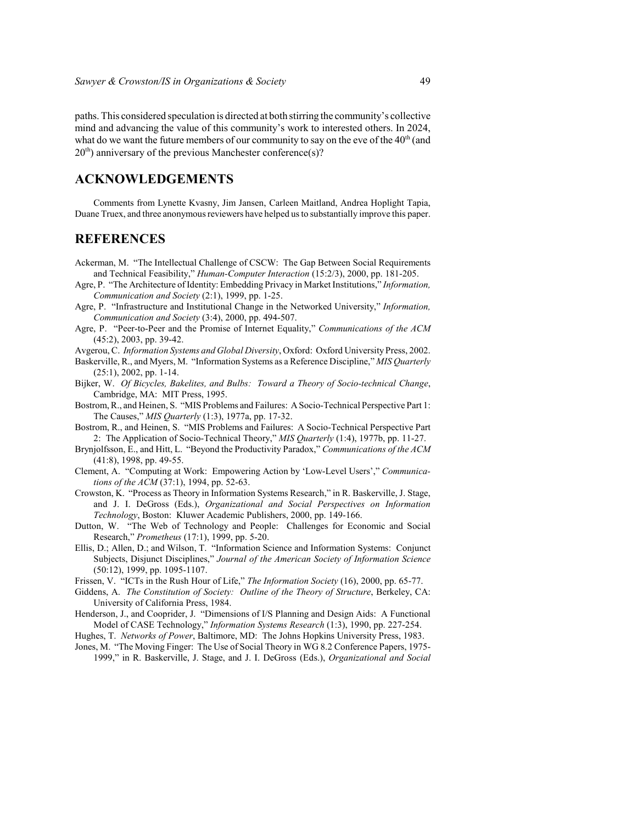paths. This considered speculation is directed at both stirring the community's collective mind and advancing the value of this community's work to interested others. In 2024, what do we want the future members of our community to say on the eve of the  $40<sup>th</sup>$  (and  $20<sup>th</sup>$ ) anniversary of the previous Manchester conference(s)?

# **ACKNOWLEDGEMENTS**

Comments from Lynette Kvasny, Jim Jansen, Carleen Maitland, Andrea Hoplight Tapia, Duane Truex, and three anonymous reviewers have helped us to substantially improve this paper.

## **REFERENCES**

- Ackerman, M. "The Intellectual Challenge of CSCW: The Gap Between Social Requirements and Technical Feasibility," *Human-Computer Interaction* (15:2/3), 2000, pp. 181-205.
- Agre, P. "The Architecture of Identity: Embedding Privacy in Market Institutions," *Information*, *Communication and Society* (2:1), 1999, pp. 1-25.
- Agre, P. "Infrastructure and Institutional Change in the Networked University," *Information*, *Communication and Society* (3:4), 2000, pp. 494-507.
- Agre, P. "Peer-to-Peer and the Promise of Internet Equality," *Communications of the ACM* (45:2), 2003, pp. 39-42.
- Avgerou, C. *Information Systems and Global Diversity*, Oxford: Oxford University Press, 2002.
- Baskerville, R., and Myers, M. "Information Systems as a Reference Discipline," *MIS Quarterly* (25:1), 2002, pp. 1-14.
- Bijker, W. *Of Bicycles, Bakelites, and Bulbs: Toward a Theory of Socio-technical Change*, Cambridge, MA: MIT Press, 1995.
- Bostrom, R., and Heinen, S. "MIS Problems and Failures: A Socio-Technical Perspective Part 1: The Causes,î *MIS Quarterly* (1:3), 1977a, pp. 17-32.
- Bostrom, R., and Heinen, S. "MIS Problems and Failures: A Socio-Technical Perspective Part 2: The Application of Socio-Technical Theory,î *MIS Quarterly* (1:4), 1977b, pp. 11-27.
- Brynjolfsson, E., and Hitt, L. "Beyond the Productivity Paradox," *Communications of the ACM* (41:8), 1998, pp. 49-55.
- Clement, A. "Computing at Work: Empowering Action by 'Low-Level Users'," *Communications of the ACM* (37:1), 1994, pp. 52-63.
- Crowston, K. "Process as Theory in Information Systems Research," in R. Baskerville, J. Stage, and J. I. DeGross (Eds.), *Organizational and Social Perspectives on Information Technology*, Boston: Kluwer Academic Publishers, 2000, pp. 149-166.
- Dutton, W. "The Web of Technology and People: Challenges for Economic and Social Research,î *Prometheus* (17:1), 1999, pp. 5-20.
- Ellis, D.; Allen, D.; and Wilson, T. "Information Science and Information Systems: Conjunct Subjects, Disjunct Disciplines," Journal of the American Society of Information Science (50:12), 1999, pp. 1095-1107.
- Frissen, V. "ICTs in the Rush Hour of Life," *The Information Society* (16), 2000, pp. 65-77.
- Giddens, A. *The Constitution of Society: Outline of the Theory of Structure*, Berkeley, CA: University of California Press, 1984.
- Henderson, J., and Cooprider, J. "Dimensions of I/S Planning and Design Aids: A Functional Model of CASE Technology,î *Information Systems Research* (1:3), 1990, pp. 227-254.
- Hughes, T. *Networks of Power*, Baltimore, MD: The Johns Hopkins University Press, 1983.
- Jones, M. "The Moving Finger: The Use of Social Theory in WG 8.2 Conference Papers, 1975-1999," in R. Baskerville, J. Stage, and J. I. DeGross (Eds.), *Organizational and Social*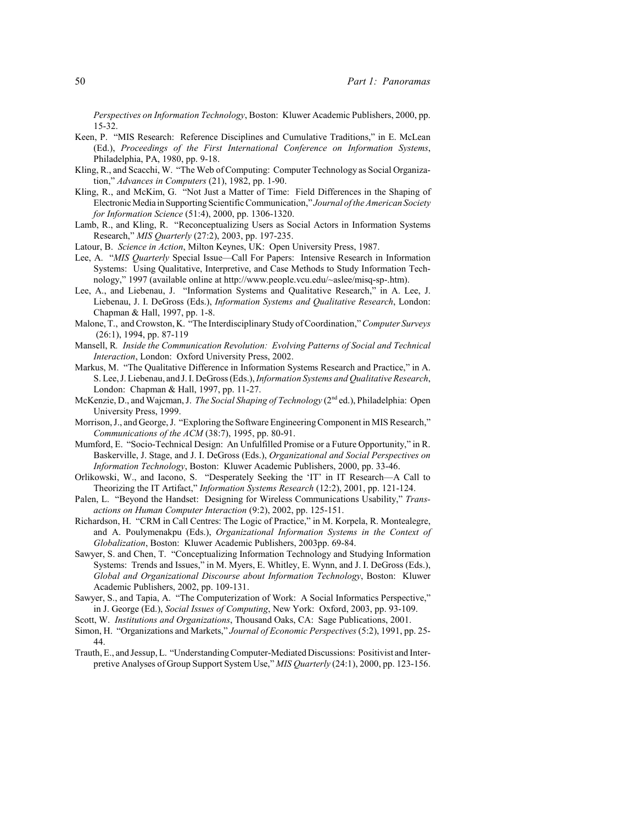*Perspectives on Information Technology*, Boston: Kluwer Academic Publishers, 2000, pp. 15-32.

- Keen, P. "MIS Research: Reference Disciplines and Cumulative Traditions," in E. McLean (Ed.), *Proceedings of the First International Conference on Information Systems*, Philadelphia, PA, 1980, pp. 9-18.
- Kling, R., and Scacchi, W. "The Web of Computing: Computer Technology as Social Organization,î *Advances in Computers* (21), 1982, pp. 1-90.
- Kling, R., and McKim, G. "Not Just a Matter of Time: Field Differences in the Shaping of Electronic Media in Supporting Scientific Communication,î *Journal of the American Society for Information Science* (51:4), 2000, pp. 1306-1320.
- Lamb, R., and Kling, R. "Reconceptualizing Users as Social Actors in Information Systems Research,î *MIS Quarterly* (27:2), 2003, pp. 197-235.
- Latour, B. *Science in Action*, Milton Keynes, UK: Open University Press, 1987.
- Lee, A. "MIS Quarterly Special Issue-Call For Papers: Intensive Research in Information Systems: Using Qualitative, Interpretive, and Case Methods to Study Information Technology,î 1997 (available online at http://www.people.vcu.edu/~aslee/misq-sp-.htm).
- Lee, A., and Liebenau, J. "Information Systems and Qualitative Research," in A. Lee, J. Liebenau, J. I. DeGross (Eds.), *Information Systems and Qualitative Research*, London: Chapman & Hall, 1997, pp. 1-8.
- Malone, T., and Crowston, K. "The Interdisciplinary Study of Coordination," *Computer Surveys* (26:1), 1994, pp. 87-119
- Mansell, R*. Inside the Communication Revolution: Evolving Patterns of Social and Technical Interaction*, London: Oxford University Press, 2002.
- Markus, M. "The Qualitative Difference in Information Systems Research and Practice," in A. S. Lee, J. Liebenau, and J. I. DeGross (Eds.), *Information Systems and Qualitative Research*, London: Chapman & Hall, 1997, pp. 11-27.
- McKenzie, D., and Wajcman, J. *The Social Shaping of Technology* (2nd ed.), Philadelphia: Open University Press, 1999.
- Morrison, J., and George, J. "Exploring the Software Engineering Component in MIS Research," *Communications of the ACM* (38:7), 1995, pp. 80-91.
- Mumford, E. "Socio-Technical Design: An Unfulfilled Promise or a Future Opportunity," in R. Baskerville, J. Stage, and J. I. DeGross (Eds.), *Organizational and Social Perspectives on Information Technology*, Boston: Kluwer Academic Publishers, 2000, pp. 33-46.
- Orlikowski, W., and Iacono, S. "Desperately Seeking the  $IT$  in IT Research—A Call to Theorizing the IT Artifact,î *Information Systems Research* (12:2), 2001, pp. 121-124.
- Palen, L. "Beyond the Handset: Designing for Wireless Communications Usability," *Transactions on Human Computer Interaction* (9:2), 2002, pp. 125-151.
- Richardson, H. "CRM in Call Centres: The Logic of Practice," in M. Korpela, R. Montealegre, and A. Poulymenakpu (Eds.), *Organizational Information Systems in the Context of Globalization*, Boston: Kluwer Academic Publishers, 2003pp. 69-84.
- Sawyer, S. and Chen, T. "Conceptualizing Information Technology and Studying Information Systems: Trends and Issues," in M. Myers, E. Whitley, E. Wynn, and J. I. DeGross (Eds.), *Global and Organizational Discourse about Information Technology*, Boston: Kluwer Academic Publishers, 2002, pp. 109-131.
- Sawyer, S., and Tapia, A. "The Computerization of Work: A Social Informatics Perspective," in J. George (Ed.), *Social Issues of Computing*, New York: Oxford, 2003, pp. 93-109.
- Scott, W. *Institutions and Organizations*, Thousand Oaks, CA: Sage Publications, 2001.
- Simon, H. "Organizations and Markets," *Journal of Economic Perspectives* (5:2), 1991, pp. 25-44.
- Trauth, E., and Jessup, L. "Understanding Computer-Mediated Discussions: Positivist and Interpretive Analyses of Group Support System Use," MIS Quarterly (24:1), 2000, pp. 123-156.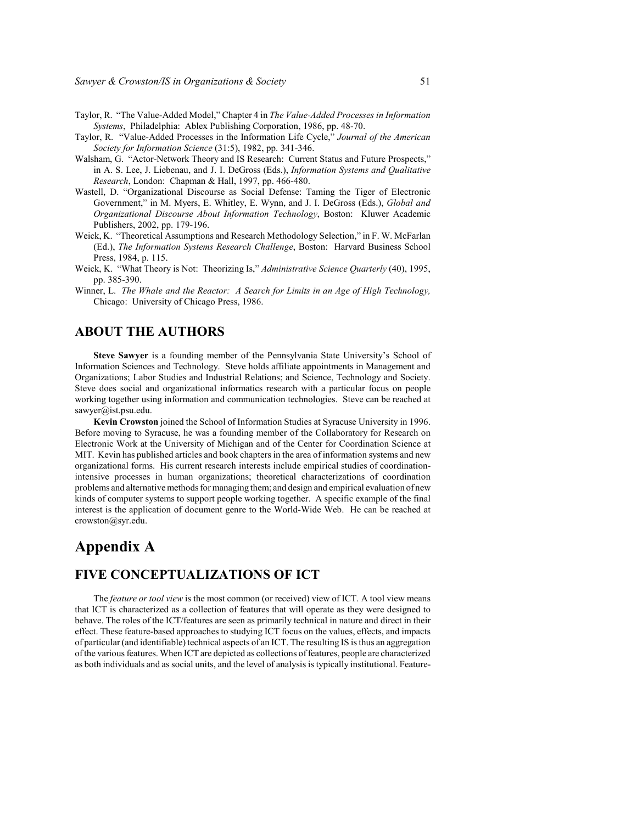- Taylor, R. "The Value-Added Model," Chapter 4 in *The Value-Added Processes in Information Systems*, Philadelphia: Ablex Publishing Corporation, 1986, pp. 48-70.
- Taylor, R. "Value-Added Processes in the Information Life Cycle," *Journal of the American Society for Information Science* (31:5), 1982, pp. 341-346.
- Walsham, G. "Actor-Network Theory and IS Research: Current Status and Future Prospects," in A. S. Lee, J. Liebenau, and J. I. DeGross (Eds.), *Information Systems and Qualitative Research*, London: Chapman & Hall, 1997, pp. 466-480.
- Wastell, D. "Organizational Discourse as Social Defense: Taming the Tiger of Electronic Government,î in M. Myers, E. Whitley, E. Wynn, and J. I. DeGross (Eds.), *Global and Organizational Discourse About Information Technology*, Boston: Kluwer Academic Publishers, 2002, pp. 179-196.
- Weick, K. "Theoretical Assumptions and Research Methodology Selection," in F. W. McFarlan (Ed.), *The Information Systems Research Challenge*, Boston: Harvard Business School Press, 1984, p. 115.
- Weick, K. "What Theory is Not: Theorizing Is," *Administrative Science Quarterly* (40), 1995, pp. 385-390.
- Winner, L. *The Whale and the Reactor: A Search for Limits in an Age of High Technology,* Chicago: University of Chicago Press, 1986.

# **ABOUT THE AUTHORS**

**Steve Sawyer** is a founding member of the Pennsylvania State University's School of Information Sciences and Technology. Steve holds affiliate appointments in Management and Organizations; Labor Studies and Industrial Relations; and Science, Technology and Society. Steve does social and organizational informatics research with a particular focus on people working together using information and communication technologies. Steve can be reached at sawyer@ist.psu.edu.

**Kevin Crowston** joined the School of Information Studies at Syracuse University in 1996. Before moving to Syracuse, he was a founding member of the Collaboratory for Research on Electronic Work at the University of Michigan and of the Center for Coordination Science at MIT. Kevin has published articles and book chapters in the area of information systems and new organizational forms. His current research interests include empirical studies of coordinationintensive processes in human organizations; theoretical characterizations of coordination problems and alternative methods for managing them; and design and empirical evaluation of new kinds of computer systems to support people working together. A specific example of the final interest is the application of document genre to the World-Wide Web. He can be reached at crowston@syr.edu.

# **Appendix A**

# **FIVE CONCEPTUALIZATIONS OF ICT**

The *feature or tool view* is the most common (or received) view of ICT. A tool view means that ICT is characterized as a collection of features that will operate as they were designed to behave. The roles of the ICT/features are seen as primarily technical in nature and direct in their effect. These feature-based approaches to studying ICT focus on the values, effects, and impacts of particular (and identifiable) technical aspects of an ICT. The resulting IS is thus an aggregation of the various features. When ICT are depicted as collections of features, people are characterized as both individuals and as social units, and the level of analysis is typically institutional. Feature